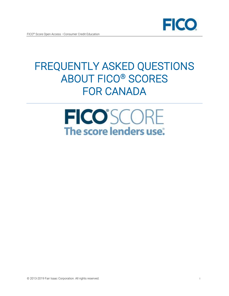

# FREQUENTLY ASKED QUESTIONS ABOUT FICO® SCORES FOR CANADA

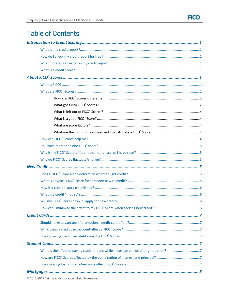# **Table of Contents**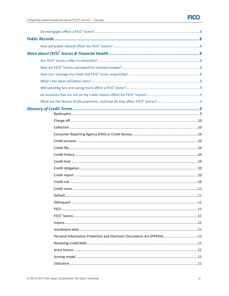# **FICO**

| Personal Information Protection and Electronic Documents Act (PIPEDA) 11 |  |
|--------------------------------------------------------------------------|--|
|                                                                          |  |
|                                                                          |  |
|                                                                          |  |
|                                                                          |  |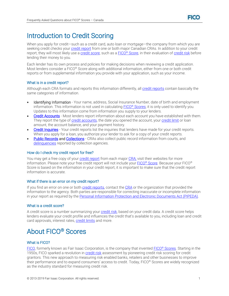

# <span id="page-3-0"></span>Introduction to Credit Scoring

When you apply for credit—such as a credit card, auto loan or mortgage—the company from which you are seeking credit checks your [credit report](#page-12-8) from one or both major Canadian CRAs. In addition to your credit report, they will most likely use a [credit score,](#page-3-4) such as a FICO® [Score,](#page-4-0) in their evaluation of [credit risk](#page-12-9) before lending their money to you.

Each lender has its own process and policies for making decisions when reviewing a credit application. Most lenders consider a FICO® Score along with additional information, either from one or both credit reports or from supplemental information you provide with your application, such as your income.

# <span id="page-3-1"></span>What is in a credit report?

Although each CRA formats and reports this information differently, al[l credit reports](#page-12-8) contain basically the same categories of information.

- Identifying Information Your name, address, Social Insurance Number, date of birth and employment information. This information is not used in calculating **FICO® Scores**; it is only used to identify you. Updates to this information come from information you supply to your lenders.
- [Credit Accounts](#page-12-3) Most lenders report information about each account you have established with them. They report the type of [credit accounts,](#page-12-3) the date you opened the account, your [credit limit](#page-12-6) or loan amount, the account balance, and your payment history.
- [Credit Inquiries](#page-8-1) Your credit reports list the inquiries that lenders have made for your credit reports. When you apply for a loan, you authorize your lender to ask for a copy of your credit reports.
- [Public Records](#page-10-8) and [Collections](#page-12-1)  CRAs also collect public record information from courts, and [delinquencies](#page-13-2) reported by collection agencies.

# <span id="page-3-2"></span>How do I check my credit report for free?

You may get a free copy of your [credit report](#page-12-8) from each major [CRA;](#page-12-2) visit their websites for more information. Please note your free credit report will not include your FICO® [Score.](#page-4-0) Because your FICO® Score is based on the information in your credit report, it is important to make sure that the credit report information is accurate.

#### <span id="page-3-3"></span>What if there is an error on my credit report?

If you find an error on one or both [credit reports,](#page-12-8) contact the [CRA](#page-12-2) or the organization that provided the information to the agency. Both parties are responsible for correcting inaccurate or incomplete information in your report as required by th[e Personal Information Protection and Electronic Documents Act \(PIPEDA\).](#page-13-7) 

# <span id="page-3-4"></span>What is a credit score?

A credit score is a number summarizing your [credit risk,](#page-12-9) based on your credit data. A credit score helps lenders evaluate your credit profile and influences the credit that's available to you, including loan and credit card approvals, interest rates, [credit limits](#page-12-6) and more.

# <span id="page-3-5"></span>About FICO® Scores

# <span id="page-3-6"></span>What is FICO?

[FICO,](http://www.fico.com/) formerly known as Fair Isaac Corporation, is the company that invented FICO® [Scores.](#page-4-0) Starting in the 1950s, FICO sparked a revolution i[n credit risk](#page-12-9) assessment by pioneering credit risk scoring for credit grantors. This new approach to measuring risk enabled banks, retailers and other businesses to improve their performance and to expand consumers' access to credit. Today, FICO® Scores are widely recognized as the industry standard for measuring credit risk.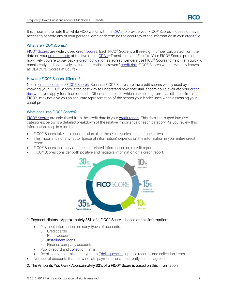

It is important to note that while FICO works with the [CRAs](#page-12-2) to provide your FICO® Scores, it does not have access to or store any of your personal data or determine the accuracy of the information in your [credit file.](#page-12-4)

# <span id="page-4-0"></span>What are FICO® Scores?

FICO<sup>®</sup> [Scores](#page-4-0) are widely used [credit scores](#page-3-4). Each FICO® Score is a three-digit number calculated from the data on your [credit reports](#page-12-8) at the two major [CRAs](#page-12-2)-TransUnion and Equifax. Your FICO<sup>®</sup> Scores predict how likely you are to pay back a [credit obligation](#page-12-7) as agreed. Lenders use FICO® Scores to help them quickly, consistently and objectively evaluate potential borrowers' [credit risk.](#page-12-9) FICO® Scores were previously known as BEACON® Scores at Equifax.

#### <span id="page-4-1"></span>How are FICO® Scores different?

Not al[l credit scores](#page-3-4) are FICO® [Scores.](#page-4-0) Because FICO® Scores are the credit scores widely used by lenders, knowing your FICO® Scores is the best way to understand how potential lenders could evaluate your credit [risk](#page-12-9) when you apply for a loan or credit. Other credit scores, which use scoring formulas different from FICO's, may not give you an accurate representation of the scores your lender uses when assessing your credit profile.

#### <span id="page-4-2"></span>What goes into FICO® Scores?

FICO® [Scores](#page-4-0) are calculated from the credit data in your [credit report.](#page-12-8) This data is grouped into five categories; below is a detailed breakdown of the relative importance of each category. As you review this information, keep in mind that:

- FICO<sup>®</sup> Scores take into consideration all of these categories, not just one or two.
- The importance of any factor (piece of information) depends on the information in your entire credit report.
- FICO<sup>®</sup> Scores look only at the credit-related information on a credit report.
- FICO® Scores consider both positive and negative information on a credit report.



# 1. Payment History - Approximately 35% of a FICO® Score is based on this information:

- Payment information on many types of accounts:
	- o Credit cards
	- o Retail accounts
	- o [Installment loans](#page-13-6)
	- o Finance company accounts
- Public record an[d collection](#page-12-1) items
- Details on late or missed payments ("[delinquencies](#page-13-12)"), public records, and collection items
- Number of accounts that show no late payments, or are currently paid as agreed

#### 2. The Amounts You Owe - Approximately 30% of a FICO® Score is based on this information: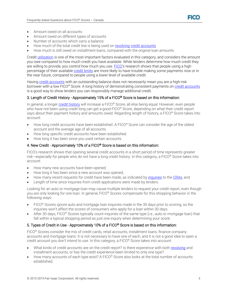

- Amount owed on all accounts
- Amount owed on different types of accounts
- Number of accounts which carry a balance
- How much of the total credit line is being used on [revolving](#page-13-8) [credit accounts](#page-12-3)
- How much is still owed on installment loans, compared with the original loan amounts

Credi[t utilization](#page-13-11) is one of the most important factors evaluated in this category, and considers the amount you owe compared to how much credit you have available. While lenders determine how much credit they are willing to provide, you control how much you use. [FICO](#page-3-6)'s research shows that people using a high percentage of their availabl[e credit limits](#page-12-6) are more likely to have trouble making some payments now or in the near future, compared to people using a lower level of available credit.

Having [credit accounts](#page-12-3) with an outstanding balance does not necessarily mean you are a high-risk borrower with a low FICO® Score. A long history of demonstrating consistent payments on [credit accounts](#page-12-3) is a good way to show lenders you can responsibly manage additional credit.

# 3. Length of Credit History - Approximately 15% of a FICO® Score is based on this information:

In general, a longer [credit history](#page-12-5) will increase a FICO® Score, all else being equal. However, even people who have not been using credit long can get a good FICO<sup>®</sup> Score, depending on what their credit report says about their payment history and amounts owed. Regarding length of history, a FICO® Score takes into account:

- How long credit accounts have been established. A FICO® Score can consider the age of the oldest account and the average age of all accounts.
- How long specific credit accounts have been established.
- How long it has been since you used certain accounts.

#### 4. New Credit - Approximately 10% of a FICO® Score is based on this information:

FICO's research shows that opening several credit accounts in a short period of time represents greater risk—especially for people who do not have a long credit history. In this category, a FICO® Score takes into account:

- How many new accounts have been opened;
- How long it has been since a new account was opened;
- How many recent requests for credit have been made, as indicated by [inquiries](#page-8-1) to the [CRAs;](#page-12-2) and
- Length of time since inquiries from credit applications were made by lenders.

Looking for an auto or mortgage loan may cause multiple lenders to request your credit report, even though you are only looking for one loan. In general, FICO® Scores compensate for this shopping behavior in the following ways:

- FICO® Scores ignore auto and mortgage loan inquiries made in the 30 days prior to scoring, so the inquiries won't affect the scores of consumers who apply for a loan within 30 days.
- After 30 days, FICO® Scores typically count inquiries of the same type (i.e., auto or mortgage loan) that fall within a typical shopping period as just one inquiry when determining your score.

# 5. Types of Credit in Use - Approximately 10% of a FICO® Score is based on this information:

FICO<sup>®</sup> Scores consider the mix of credit cards, retail accounts, installment loans, finance company accounts and mortgage loans. It is not necessary to have one of each, and it is not a good idea to open a credit account you don't intend to use. In this category, a FICO® Score takes into account:

- What kinds of credit accounts are on the credit report? Is there experience with both [revolving](#page-13-13) and installment accounts, or has the credit experience been limited to only one type?
- How many accounts of each type exist? A FICO® Score also looks at the total number of accounts established.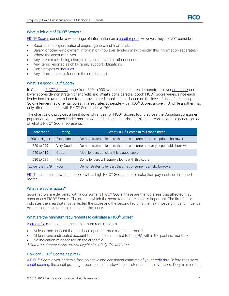

# <span id="page-6-0"></span>What is left out of FICO® Scores?

FICO<sup>®</sup> [Scores](#page-4-0) consider a wide range of information on a [credit report.](#page-12-8) However, they do NOT consider:

- Race, color, religion, national origin, age, sex and marital status
- Salary, or other employment information (however, lenders may consider this information separately)
- Where the consumer lives
- Any interest rate being charged on a credit card or other account
- Any items reported as child/family support obligations
- Certain types of [inquiries](#page-8-1)
- <span id="page-6-1"></span>Any information not found in the credit report

# What is a good FICO<sup>®</sup> Score?

In Canada, FICO® [Scores](#page-4-0) range from 300 to 900, where higher scores demonstrate lower [credit risk](#page-12-9) and lower scores demonstrate higher credit risk. What's considered a "good" FICO® Score varies, since each lender has its own standards for approving credit applications, based on the level of risk it finds acceptable. So one lender may offer its lowest interest rates to people with FICO® Scores above 710, while another may only offer it to people with FICO® Scores above 760.

The chart below provides a breakdown of ranges for FICO® Scores found across the Canadian consumer population. Again, each lender has its own credit risk standards, but this chart can serve as a general guide of what a FICO® Score represents.

| Score range    | Rating      | What FICO <sup>®</sup> Scores in this range mean                        |
|----------------|-------------|-------------------------------------------------------------------------|
| 800 or Higher  | Exceptional | Demonstrates to lenders that the consumer is an exceptional borrower    |
| 720 to 799     | Very Good   | Demonstrates to lenders that the consumer is a very dependable borrower |
| 640 to 719     | Good        | Most lenders consider this a good score                                 |
| 580 to 639     | Fair        | Some lenders will approve loans with this score                         |
| Lower than 579 | Poor        | Demonstrates to lenders that the consumer is a risky borrower           |

[FICO](#page-3-6)'s research shows that people with a high FICO<sup>®</sup> Score tend to make their payments on time each month.

# <span id="page-6-2"></span>What are score factors?

Score factors are delivered with a consumer's FICO® [Score;](#page-4-0) these are the top areas that affected that consumer's FICO® Scores. The order in which the score factors are listed is important. The first factor indicates the area that most affected the score and the second factor is the next most significant influence. Addressing these factors can benefit the score.

# <span id="page-6-3"></span>What are the minimum requirements to calculate a FICO® Score?

[A credit file](#page-12-4) must contain these minimum requirements:

- At least one account that has been open for three months or more\*
- At least one undisputed account that has been reported to the [CRA](#page-12-2) within the past six months\*
- No indication of deceased on the credit file

\* Deferred student loans are not eligible to satisfy this criterion

# <span id="page-6-4"></span>How can FICO® Scores help me?

A FICO® [Score](#page-4-0) gives lenders a fast, objective and consistent estimate of you[r credit risk.](#page-12-9) Before the use of [credit scoring,](#page-13-0) the credit granting process could be slow, inconsistent and unfairly biased. Keep in mind that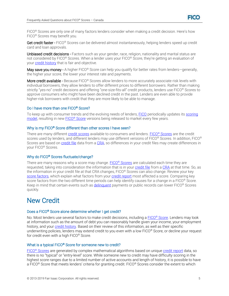

FICO® Scores are only one of many factors lenders consider when making a credit decision. Here's how FICO® Scores may benefit you.

Get credit faster - FICO<sup>®</sup> Scores can be delivered almost instantaneously, helping lenders speed up credit card and loan approvals.

Unbiased credit decisions - Factors such as your gender, race, religion, nationality and marital status are not considered by FICO® Scores. When a lender uses your FICO® Score, they're getting an evaluation of you[r credit history](#page-12-5) that is fair and objective.

May save you money - A higher FICO<sup>®</sup> Score can help you qualify for better rates from lenders-generally, the higher your score, the lower your interest rate and payments.

More credit available - Because FICO® Scores allow lenders to more accurately associate risk levels with individual borrowers, they allow lenders to offer different prices to different borrowers. Rather than making strictly "yes-no" credit decisions and offering "one-size-fits-all" credit products, lenders use FICO® Scores to approve consumers who might have been declined credit in the past. Lenders are even able to provide higher-risk borrowers with credit that they are more likely to be able to manage.

# <span id="page-7-0"></span>Do I have more than one FICO® Score?

To keep up with consumer trends and the evolving needs of lenders[, FICO](#page-3-6) periodically updates its [scoring](#page-13-10)  [model,](#page-13-10) resulting in new FICO® [Score](#page-4-0) versions being released to market every few years.

#### <span id="page-7-1"></span>Why is my FICO<sup>®</sup> Score different than other scores I have seen?

There are many different [credit scores](#page-3-4) available to consumers and lenders. FICO® [Scores](#page-4-0) are the credit scores used by lenders, and different lenders may use different versions of FICO® Scores. In addition, FICO® Scores are based o[n credit file](#page-12-4) data from a [CRA,](#page-12-2) so differences in your credit files may create differences in your FICO® Scores.

#### <span id="page-7-2"></span>Why do FICO<sup>®</sup> Scores fluctuate/change?

There are many reasons why a score may change. FICO<sup>®</sup> [Scores](#page-4-0) are calculated each time they are requested, taking into consideration the information that is in your [credit file](#page-12-4) from a [CRA](#page-12-2) at that time. So, as the information in your credit file at that CRA changes, FICO® Scores can also change. Review your key [score factors,](#page-6-2) which explain what factors from you[r credit report](#page-12-8) most affected a score. Comparing key score factors from the two different time periods can help identify causes for a change in a FICO® Score. Keep in mind that certain events such as *delinquent* payments or public records can lower FICO<sup>®</sup> Scores quickly.

# <span id="page-7-3"></span>New Credit

#### <span id="page-7-4"></span>Does a FICO® Score alone determine whether I get credit?

No. Most lenders use several factors to make credit decisions, including a  $EICO<sup>®</sup> Score$ . Lenders may look at information such as the amount of debt you can reasonably handle given your income, your employment history, and you[r credit history.](#page-12-5) Based on their review of this information, as well as their specific underwriting policies, lenders may extend credit to you even with a low FICO<sup>®</sup> Score, or decline your request for credit even with a high FICO® Score.

#### <span id="page-7-5"></span>What is a typical FICO® Score for someone new to credit?

FICO<sup>®</sup> [Scores](#page-4-0) are generated by complex mathematical algorithms based on unique *credit report* data, so there is no "typical" or "entry-level" score. While someone new to credit may have difficulty scoring in the highest score ranges due to a limited number of active accounts and length of history, it is possible to have a FICO® Score that meets lenders' criteria for granting credit. FICO® Scores consider the extent to which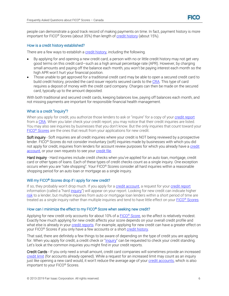

people can demonstrate a good track record of making payments on time. In fact, payment history is more important for FICO® Scores (about 35%) than length of [credit history](#page-12-5) (about 15%).

#### <span id="page-8-0"></span>How is a credit history established?

There are a few ways to establish a [credit history,](#page-12-5) including the following.

- By applying for and opening a new credit card, a person with no or little credit history may not get very good terms on this credit card—such as a high annual percentage rate (APR). However, by charging small amounts and paying off the balance each month, you won't be paying interest each month so the high APR won't hurt your financial position.
- Those unable to get approved for a traditional credit card may be able to open a secured credit card to build credit history, provided the card issuer reports secured cards to th[e CRA.](#page-12-2) This type of card requires a deposit of money with the credit card company. Charges can then be made on the secured card, typically up to the amount deposited.

With both traditional and secured credit cards, keeping balances low, paying off balances each month, and not missing payments are important for responsible financial health management.

#### <span id="page-8-1"></span>What is a credit "inquiry"?

When you apply for credit, you authorize those lenders to ask or "inquire" for a copy of your [credit report](#page-12-8) from a [CRA.](#page-12-2) When you later check your credit report, you may notice that their credit inquiries are listed. You may also see inquiries by businesses that you don't know. But the only inquiries that count toward your FICO<sup>®</sup> [Scores](#page-4-0) are the ones that result from your applications for new credit.

Soft inquiry - Soft inquiries are all credit inquiries where your credit is NOT being reviewed by a prospective lender. FICO® Scores do not consider involuntary (soft) inquiries made by businesses with which you did not apply for credit, inquiries from lenders for account review purposes for which you already have a credit [account,](#page-12-2) or your own requests to see your [credit file.](#page-12-4)

Hard inquiry - Hard inquiries include credit checks when you've applied for an auto loan, mortgage, credit card or other types of loans. Each of these types of credit checks count as a single inquiry. One exception occurs when you are "rate shopping". Your FICO® Scores consider all hard inquiries within a reasonable shopping period for an auto loan or mortgage as a single inquiry.

#### <span id="page-8-2"></span>Will my FICO<sup>®</sup> Scores drop if I apply for new credit?

If so, they probably won't drop much. If you apply for a [credit account,](#page-12-2) a request for you[r credit report](#page-12-8) information (called a "hard [inquiry](#page-8-1)") will appear on your report. Looking for new credit can indicate higher [risk](#page-12-9) to a lender, but multiple inquiries from auto or mortgage loan lenders within a short period of time are treated as a single inquiry rather than multiple inquiries and tend to have little effect on your FICO® [Scores.](#page-4-0)

#### <span id="page-8-3"></span>How can I minimize the effect to my FICO® Score when seeking new credit?

Applying for new credit only accounts for about 10% of a FICO® [Score,](#page-4-0) so the affect is relatively modest. Exactly how much applying for new credit affects your score depends on your overall credit profile and what else is already in your [credit reports.](#page-12-8) For example, applying for new credit can have a greater effect on your FICO<sup>®</sup> Scores if you only have a few accounts or a short [credit history.](#page-12-5)

That said, there are definitely a few things to be aware of depending on the type of credit you are applying for. When you apply for credit, a credit check or "[inquiry](#page-8-1)" can be requested to check your credit standing. Let's look at the common inquiries you might find in your credit reports.

Credit Cards - If you only need a small amount, credit card companies will sometimes provide an increased [credit limit](#page-12-6) (for accounts already opened). While a request for an increased limit may count as an inquiry just like opening a new card would, it won't reduce the average age of your [credit accounts,](#page-12-2) which is also important to your FICO® Scores.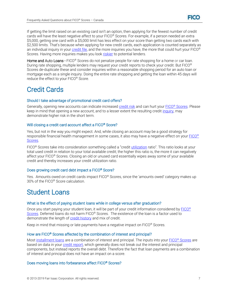If getting the limit raised on an existing card isn't an option, then applying for the fewest number of credit cards will have the least negative affect to your FICO® Scores. For example, if a person needed an extra \$5,000, getting one card with a \$5,000 limit has less effect on your score than getting two cards each with \$2,500 limits. That's because when applying for new credit cards, each application is counted separately as an individual inquiry in your [credit file,](#page-12-4) and the more inquiries you have, the more that could hurt your FICO<sup>®</sup> Scores. Having more inquiries makes you loo[k riskier](#page-12-9) to potential lenders.

Home and Auto Loans - FICO<sup>®</sup> Scores do not penalize people for rate shopping for a home or car loan. During rate shopping, multiple lenders may request your credit reports to check your credit. But FICO® Scores de-duplicate these and consider inquiries within a reasonable shopping period for an auto loan or mortgage each as a single inquiry. Doing the entire rate shopping and getting the loan within 45 days will reduce the effect to your FICO® Score.

# <span id="page-9-0"></span>Credit Cards

# <span id="page-9-1"></span>Should I take advantage of promotional credit card offers?

Generally, opening new accounts can indicate increased [credit risk](#page-12-9) and can hurt your FICO<sup>®</sup> [Scores.](#page-4-0) Please keep in mind that opening a new account, and to a lesser extent the resulting credit [inquiry,](#page-8-1) may demonstrate higher risk in the short term.

# <span id="page-9-2"></span>Will closing a credit card account affect a FICO<sup>®</sup> Score?

Yes, but not in the way you might expect. And, while closing an account may be a good strategy for responsible financial health management in some cases, it also may have a negative effect on your [FICO](#page-4-0)® [Scores.](#page-4-0)

FICO<sup>®</sup> Scores take into consideration something called a "credit *[utilization](#page-13-11)* ratio". This ratio looks at your total used credit in relation to your total available credit; the higher this ratio is, the more it can negatively affect your FICO® Scores. Closing an old or unused card essentially wipes away some of your available credit and thereby increases your credit utilization ratio.

# <span id="page-9-3"></span>Does growing credit card debt impact a FICO® Score?

Yes. Amounts owed on credit cards impact FICO® Scores, since the 'amounts owed' category makes up 30% of the FICO® Score calculation.

# <span id="page-9-4"></span>Student Loans

# <span id="page-9-5"></span>What is the effect of paying student loans while in college versus after graduation?

Once you start paying your student loan, it will be part of your credit information considered by [FICO](#page-4-0)® [Scores.](#page-4-0) Deferred loans do not harm FICO® Scores. The existence of the loan is a factor used to demonstrate the length of **credit history** and mix of credit.

Keep in mind that missing or late payments have a negative impact on FICO<sup>®</sup> Scores.

# <span id="page-9-6"></span>How are FICO® Scores affected by the combination of interest and principal?

Most [installment loans](#page-13-6) are a combination of interest and principal. The inputs into your FICO® [Scores](#page-4-0) are based on data in your [credit report,](#page-12-8) which generally does not break out the interest and principal components, but instead reports the overall debt. Therefore the fact that loan payments are a combination of interest and principal does not have an impact on a score.

# <span id="page-9-7"></span>Does moving loans into forbearance affect FICO® Scores?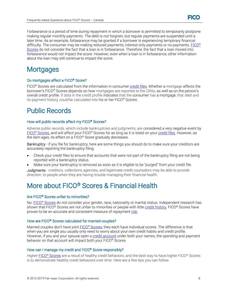Forbearance is a period of time during repayment in which a borrower is permitted to temporarily postpone making regular monthly payments. The debt is not forgiven, but regular payments are suspended until a later time. As an example, forbearance may be granted if a borrower is experiencing temporary financial difficulty. The consumer may be making reduced payments, interest-only payments or no payments. [FICO](#page-4-0)<sup>®</sup> [Scores](#page-4-0) do not consider the fact that a loan is in forbearance. Therefore, the fact that a loan moved into forbearance would not impact the score. However, even when a loan is in forbearance, other information about the loan may still continue to impact the score.

# <span id="page-10-0"></span>**Mortgages**

# <span id="page-10-1"></span>Do mortgages affect a FICO® Score?

FICO<sup>®</sup> Scores are calculated from the information in consume[r credit files.](#page-12-4) Whether a mortgage affects the borrower's FICO® Scores depends on how mortgages are reported to the CRAs, as well as on the person's overall credit profile. If data in the credit profile indicates that the consumer has a mortgage, that debt and its payment history *could* be calculated into his or her FICO<sup>®</sup> Scores.

# <span id="page-10-2"></span>Public Records

#### <span id="page-10-3"></span>How will public records affect my FICO® Scores?

Adverse public records, which include bankruptcies and judgments, are considered a very negative event by FICO<sup>®</sup> [Scores,](#page-4-0) and will affect your FICO<sup>®</sup> Scores for as long as it is listed on your [credit files.](#page-12-4) However, as the item ages, its effect on a FICO® Score gradually decreases.

Bankruptcy - if you file for bankruptcy, here are some things you should do to make sure your creditors are accurately reporting the bankruptcy filing:

- Check your credit files to ensure that accounts that were not part of the bankruptcy filing are not being reported with a bankruptcy status.
- <span id="page-10-8"></span>Make sure your bankruptcy is removed as soon as it is eligible to be "purged" from your credit file.

Judgments - creditors, collections agencies, and legitimate credit counselors may be able to provide direction, to people when they are having trouble managing their financial health.

# <span id="page-10-4"></span>More about FICO® Scores & Financial Health

# <span id="page-10-5"></span>Are FICO® Scores unfair to minorities?

No. FICO® [Scores](#page-4-0) do not consider your gender, race, nationality or marital status. Independent research has shown that FICO® Scores are not unfair to minorities or people with little [credit history.](#page-12-5) FICO® Scores have proven to be an accurate and consistent measure of repayment [risk.](#page-12-9)

#### <span id="page-10-6"></span>How are FICO® Scores calculated for married couples?

Married couples don't have joint FICO® [Scores,](#page-4-0) they each have individual scores. The difference is that when you are single you usually only need to worry about your own credit habits and credit profile. However, if you and your spouse open a [credit account](#page-12-2) under both your names, the spending and payment behavior on that account will impact both your FICO® Scores.

#### <span id="page-10-7"></span>How can I manage my credit and FICO® Score responsibly?

Higher FICO<sup>®</sup> [Scores](#page-4-0) are a result of healthy credit behaviors, and the best way to have higher FICO<sup>®</sup> Scores is to demonstrate healthy credit behaviors over time. Here are a few tips you can follow.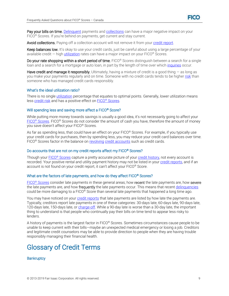

Pay your bills on time. [Delinquent](#page-13-12) payments and [collections](#page-12-1) can have a major negative impact on your FICO<sup>®</sup> Scores. If you're behind on payments, get current and stay current.

Avoid collections. Paying off a collection account will not remove it from you[r credit report.](#page-12-8)

Keep balances low. It's okay to use your credit cards, just be careful about using a large percentage of your available credit  $-$  high [utilization](#page-13-11) rates can have a major impact on your FICO<sup>®</sup> Scores.

Do your rate shopping within a short period of time. FICO<sup>®</sup> Scores distinguish between a search for a single loan and a search for a mortgage or auto loan, in part by the length of time over whic[h inquiries](#page-8-1) occur.

Have credit and manage it responsibly. Ultimately, having a mixture of credit is a good thing  $-$  as long as you make your payments regularly and on time. Someone with no credit cards tends to be higher [risk](#page-12-9) than someone who has managed credit cards responsibly.

#### <span id="page-11-0"></span>What's the ideal utilization ratio?

There is no single [utilization](#page-13-11) percentage that equates to optimal points. Generally, lower utilization means less [credit risk](#page-12-9) and has a positive effect on FICO® [Scores.](#page-4-0)

#### <span id="page-11-1"></span>Will spending less and saving more affect a FICO<sup>®</sup> Score?

While putting more money towards savings is usually a good idea, it's not necessarily going to affect your FICO<sup>®</sup> [Scores.](#page-4-0) FICO<sup>®</sup> Scores do not consider the amount of cash you have, therefore the amount of money you save doesn't affect your FICO® Scores.

As far as spending less, that could have an effect on your FICO<sup>®</sup> Scores. For example, if you typically use your credit cards for purchases, then by spending less, you may reduce your credit card balances over time. FICO® Scores factor in the balance on [revolving](#page-13-8) credit accounts such as credit cards.

#### <span id="page-11-2"></span>Do accounts that are not on my credit reports affect my FICO® Scores?

Though your FICO<sup>®</sup> [Scores](#page-4-0) capture a pretty accurate picture of your [credit history,](#page-12-5) not every account is recorded. Your positive rental and utility payment history may not be listed in you[r credit reports,](#page-12-8) and if an account is not found on your credit report, it can't affect your FICO® Score.

#### <span id="page-11-3"></span>What are the factors of late payments, and how do they affect FICO<sup>®</sup> Scores?

FICO<sup>®</sup> [Scores](#page-4-0) consider late payments in these general areas; how recent the late payments are, how severe the late payments are, and how frequently the late payments occur. This means that recent [delinquencies](#page-13-2) could be more damaging to a FICO® Score than several late payments that happened a long time ago.

You may have noticed on your [credit reports](#page-12-8) that late payments are listed by how late the payments are. Typically, creditors report late payments in one of these categories: 30-days late, 60-days late, 90-days late, 120-days late, 150-days late, or [charge-off.](#page-11-4) While a 90-day late is worse than a 30-day late, the important thing to understand is that people who continually pay their bills on time tend to appear less risky to lenders.

A history of payments is the largest factor in FICO® Scores. Sometimes circumstances cause people to be unable to keep current with their bills—maybe an unexpected medical emergency or losing a job. Creditors and legitimate credit counselors may be able to provide direction to people when they are having trouble responsibly managing their financial health.

# <span id="page-11-4"></span>Glossary of Credit Terms

#### <span id="page-11-5"></span>**Bankruptcy**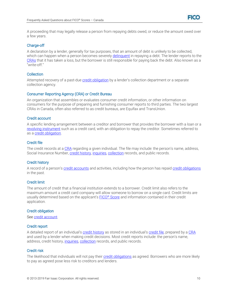

A proceeding that may legally release a person from repaying debts owed, or reduce the amount owed over a few years.

# <span id="page-12-0"></span>Charge-off

A declaration by a lender, generally for tax purposes, that an amount of debt is unlikely to be collected, which can happen when a person becomes severel[y delinquent](#page-13-12) in repaying a debt. The lender reports to the [CRAs](#page-12-2) that it has taken a loss, but the borrower is still responsible for paying back the debt. Also known as a "write-off."

# <span id="page-12-1"></span>**Collection**

Attempted recovery of a past-due [credit obligation](#page-12-7) by a lender's collection department or a separate collection agency.

#### <span id="page-12-2"></span>Consumer Reporting Agency (CRA) or Credit Bureau

An organization that assembles or evaluates consumer credit information, or other information on consumers for the purpose of preparing and furnishing consumer reports to third parties. The two largest CRAs in Canada, often also referred to as credit bureaus, are Equifax and TransUnion.

#### <span id="page-12-3"></span>Credit account

A specific lending arrangement between a creditor and borrower that provides the borrower with a loan or a [revolving instrument](#page-13-13) such as a credit card, with an obligation to repay the creditor. Sometimes referred to as [a credit obligation.](#page-12-7)

#### <span id="page-12-4"></span>Credit file

The credit records at [a CRA](#page-12-2) regarding a given individual. The file may include: the person's name, address, Social Insurance Number[, credit history,](#page-12-5) [inquiries,](#page-8-1) [collection](#page-12-1) records, and public records.

# <span id="page-12-5"></span>Credit history

A record of a person's [credit accounts](#page-12-3) and activities, including how the person has repai[d credit obligations](#page-12-7) in the past.

# <span id="page-12-6"></span>Credit limit

The amount of credit that a financial institution extends to a borrower. Credit limit also refers to the maximum amount a credit card company will allow someone to borrow on a single card. Credit limits are usually determined based on the applicant's FICO® [Score](#page-4-0) and information contained in their credit application.

#### <span id="page-12-7"></span>Credit obligation

<span id="page-12-8"></span>See [credit account.](#page-12-2)

#### Credit report

A detailed report of an individual's [credit history](#page-12-5) as stored in an individual's [credit file,](#page-12-4) prepared by a [CRA](#page-12-2) and used by a lender when making credit decisions. Most credit reports include: the person's name, address, credit history[, inquiries,](#page-8-1) [collection](#page-12-1) records, and public records.

#### <span id="page-12-9"></span>Credit risk

The likelihood that individuals will not pay thei[r credit obligations](#page-12-7) as agreed. Borrowers who are more likely to pay as agreed pose less risk to creditors and lenders.